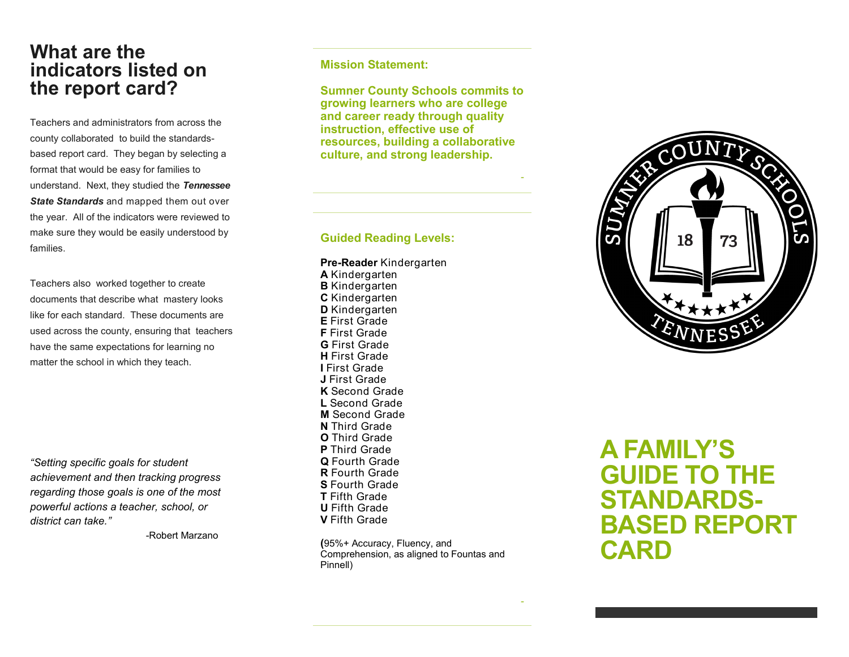## **What are the indicators listed on the report card?**

Teachers and administrators from across the county collaborated to build the standards based report card. They began by selecting a format that would be easy for families to understand. Next, they studied the *Tennessee State Standards* and mapped them out over the year. All of the indicators were reviewed to make sure they would be easily understood by families.

Teachers also worked together to create documents that describe what mastery looks like for each standard. These documents are used across the county, ensuring that teachers have the same expectations for learning no matter the school in which they teach.

*"Setting specific goals for student achievement and then tracking progress regarding those goals is one of the most powerful actions a teacher, school, or district can take. "*

-Robert Marzano

**Mission Statement:**

**Sumner County Schools commits to growing learners who are college and career ready through quality instruction, effective use of resources, building a collaborative culture, and strong leadership.**

*-*

*-*

#### **Guided Reading Levels:**

#### **Pre -Reader** Kindergarten

**A** Kindergarten **B** Kindergarten **C** Kindergarten **D** Kindergarten **E** First Grade **F** First Grade **G** First Grade **H** First Grade **I** First Grade **J** First Grade **K** Second Grade **L** Second Grade **M** Second Grade **N** Third Grade **O** Third Grade **P** Third Grade **Q** Fourth Grade **R** Fourth Grade **S** Fourth Grade **T** Fifth Grade **U** Fifth Grade **V** Fifth Grade

**(**95%+ Accuracy, Fluency, and Comprehension, as aligned to Fountas and Pinnell)



**A FAMILY 'S GUIDE TO THE STANDARDS - BASED REPORT CARD**